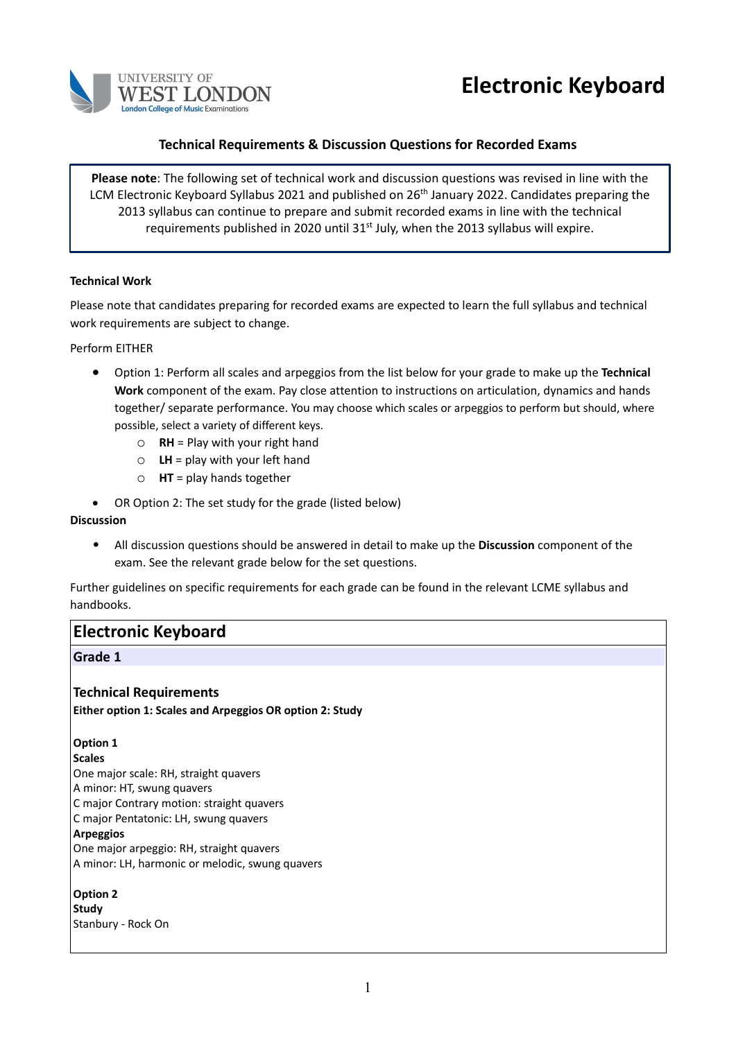



# **Technical Requirements & Discussion Questions for Recorded Exams**

**Please note**: The following set of technical work and discussion questions was revised in line with the LCM Electronic Keyboard Syllabus 2021 and published on 26<sup>th</sup> January 2022. Candidates preparing the 2013 syllabus can continue to prepare and submit recorded exams in line with the technical requirements published in 2020 until  $31<sup>st</sup>$  July, when the 2013 syllabus will expire.

#### **Technical Work**

Please note that candidates preparing for recorded exams are expected to learn the full syllabus and technical work requirements are subject to change.

Perform EITHER

- Option 1: Perform all scales and arpeggios from the list below for your grade to make up the **Technical Work** component of the exam. Pay close attention to instructions on articulation, dynamics and hands together/ separate performance. You may choose which scales or arpeggios to perform but should, where possible, select a variety of different keys.
	- o **RH** = Play with your right hand
	- $\circ$  **LH** = play with your left hand
	- o **HT** = play hands together
- OR Option 2: The set study for the grade (listed below)

#### **Discussion**

• All discussion questions should be answered in detail to make up the **Discussion** component of the exam. See the relevant grade below for the set questions.

Further guidelines on specific requirements for each grade can be found in the relevant LCME syllabus and handbooks.

# **Electronic Keyboard**

# **Grade 1**

# **Technical Requirements**

**Either option 1: Scales and Arpeggios OR option 2: Study**

# **Option 1**

#### **Scales**

One major scale: RH, straight quavers

- A minor: HT, swung quavers
- C major Contrary motion: straight quavers
- C major Pentatonic: LH, swung quavers

#### **Arpeggios**

One major arpeggio: RH, straight quavers A minor: LH, harmonic or melodic, swung quavers

# **Option 2 Study** Stanbury - Rock On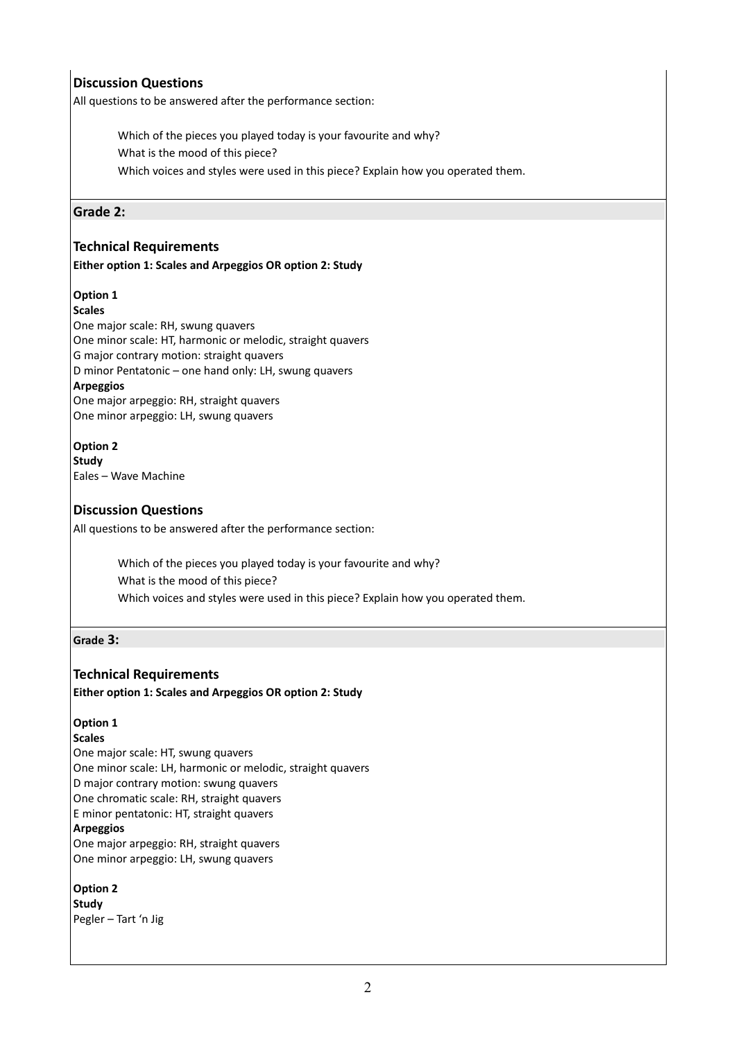# **Discussion Questions**

All questions to be answered after the performance section:

Which of the pieces you played today is your favourite and why? What is the mood of this piece? Which voices and styles were used in this piece? Explain how you operated them.

# **Grade 2:**

# **Technical Requirements**

#### **Either option 1: Scales and Arpeggios OR option 2: Study**

# **Option 1**

# **Scales**

One major scale: RH, swung quavers One minor scale: HT, harmonic or melodic, straight quavers G major contrary motion: straight quavers D minor Pentatonic – one hand only: LH, swung quavers **Arpeggios** One major arpeggio: RH, straight quavers One minor arpeggio: LH, swung quavers

# **Option 2**

**Study**  Eales – Wave Machine

# **Discussion Questions**

All questions to be answered after the performance section:

Which of the pieces you played today is your favourite and why? What is the mood of this piece? Which voices and styles were used in this piece? Explain how you operated them.

# **Grade 3:**

# **Technical Requirements**

**Either option 1: Scales and Arpeggios OR option 2: Study**

# **Option 1**

# **Scales**

One major scale: HT, swung quavers One minor scale: LH, harmonic or melodic, straight quavers D major contrary motion: swung quavers One chromatic scale: RH, straight quavers E minor pentatonic: HT, straight quavers **Arpeggios**

One major arpeggio: RH, straight quavers One minor arpeggio: LH, swung quavers

# **Option 2**

**Study** Pegler – Tart 'n Jig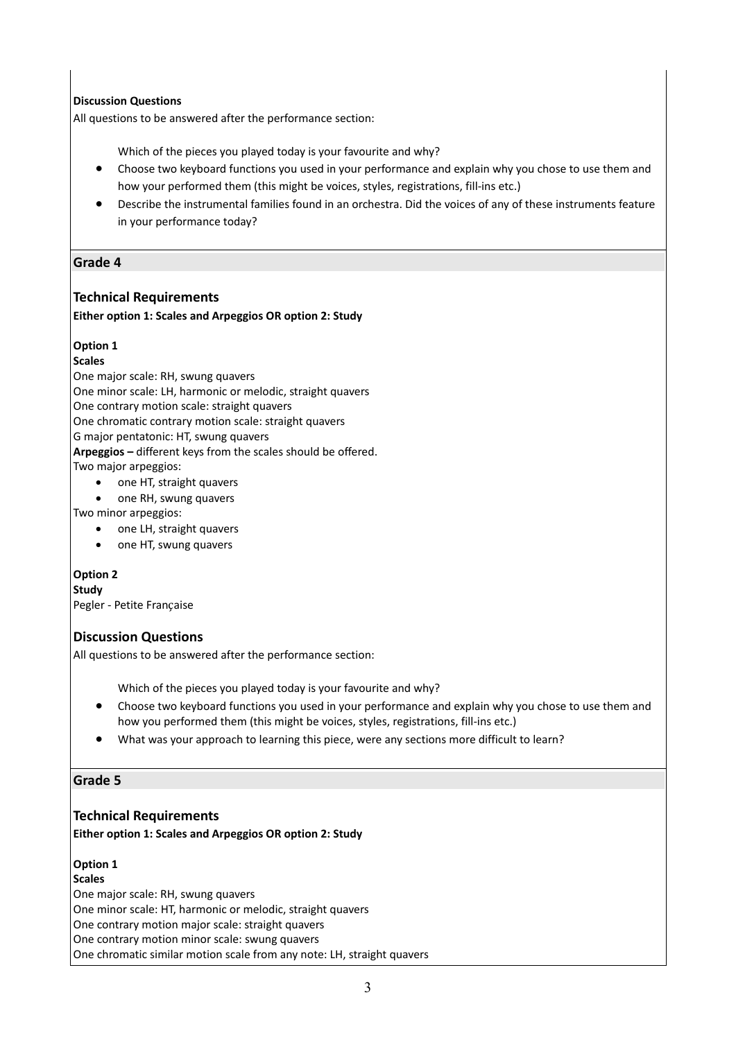# **Discussion Questions**

All questions to be answered after the performance section:

Which of the pieces you played today is your favourite and why?

- Choose two keyboard functions you used in your performance and explain why you chose to use them and how your performed them (this might be voices, styles, registrations, fill-ins etc.)
- Describe the instrumental families found in an orchestra. Did the voices of any of these instruments feature in your performance today?

# **Grade 4**

# **Technical Requirements**

#### **Either option 1: Scales and Arpeggios OR option 2: Study**

# **Option 1**

#### **Scales**

One major scale: RH, swung quavers

One minor scale: LH, harmonic or melodic, straight quavers

One contrary motion scale: straight quavers

One chromatic contrary motion scale: straight quavers

G major pentatonic: HT, swung quavers

**Arpeggios –** different keys from the scales should be offered.

Two major arpeggios:

- one HT, straight quavers
- one RH, swung quavers
- Two minor arpeggios:
	- one LH, straight quavers
	- one HT, swung quavers

# **Option 2**

**Study** Pegler - Petite Française

# **Discussion Questions**

All questions to be answered after the performance section:

Which of the pieces you played today is your favourite and why?

- Choose two keyboard functions you used in your performance and explain why you chose to use them and how you performed them (this might be voices, styles, registrations, fill-ins etc.)
- What was your approach to learning this piece, were any sections more difficult to learn?

# **Grade 5**

# **Technical Requirements**

**Either option 1: Scales and Arpeggios OR option 2: Study**

# **Option 1**

**Scales** 

One major scale: RH, swung quavers

One minor scale: HT, harmonic or melodic, straight quavers

One contrary motion major scale: straight quavers

One contrary motion minor scale: swung quavers

One chromatic similar motion scale from any note: LH, straight quavers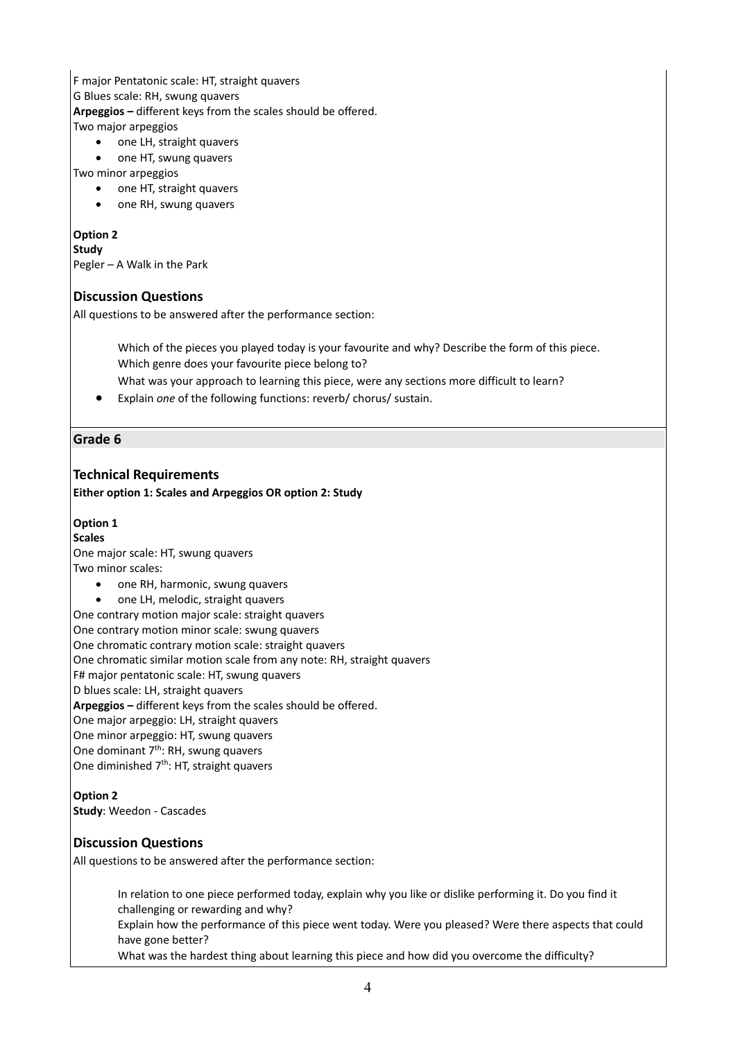# F major Pentatonic scale: HT, straight quavers G Blues scale: RH, swung quavers **Arpeggios –** different keys from the scales should be offered. Two major arpeggios

- one LH, straight quavers
- one HT, swung quavers

#### Two minor arpeggios

- one HT, straight quavers
- one RH, swung quavers

#### **Option 2**

#### **Study**

Pegler – A Walk in the Park

# **Discussion Questions**

All questions to be answered after the performance section:

Which of the pieces you played today is your favourite and why? Describe the form of this piece. Which genre does your favourite piece belong to?

What was your approach to learning this piece, were any sections more difficult to learn?

• Explain *one* of the following functions: reverb/ chorus/ sustain.

# **Grade 6**

# **Technical Requirements**

**Either option 1: Scales and Arpeggios OR option 2: Study**

# **Option 1**

#### **Scales**

One major scale: HT, swung quavers Two minor scales:

- one RH, harmonic, swung quavers
- one LH, melodic, straight quavers

One contrary motion major scale: straight quavers

One contrary motion minor scale: swung quavers

One chromatic contrary motion scale: straight quavers

One chromatic similar motion scale from any note: RH, straight quavers

F# major pentatonic scale: HT, swung quavers

# D blues scale: LH, straight quavers

**Arpeggios –** different keys from the scales should be offered.

One major arpeggio: LH, straight quavers

One minor arpeggio: HT, swung quavers

One dominant  $7<sup>th</sup>$ : RH, swung quavers

One diminished 7<sup>th</sup>: HT, straight quavers

# **Option 2**

**Study**: Weedon - Cascades

# **Discussion Questions**

All questions to be answered after the performance section:

In relation to one piece performed today, explain why you like or dislike performing it. Do you find it challenging or rewarding and why?

Explain how the performance of this piece went today. Were you pleased? Were there aspects that could have gone better?

What was the hardest thing about learning this piece and how did you overcome the difficulty?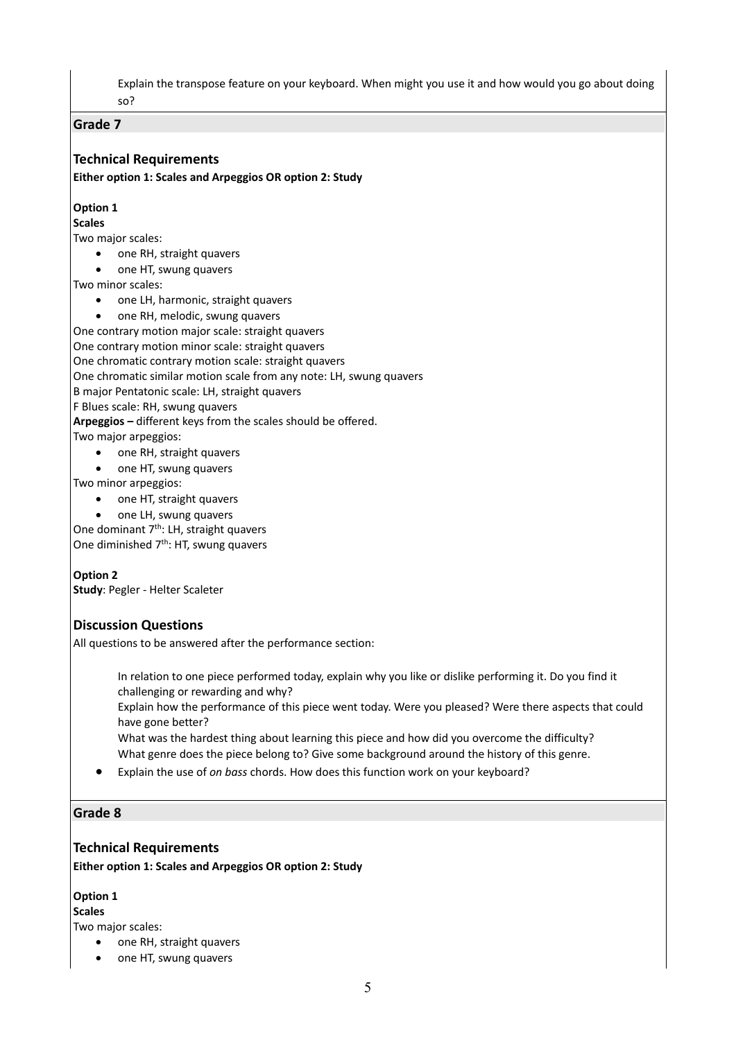Explain the transpose feature on your keyboard. When might you use it and how would you go about doing so?

#### **Grade 7**

# **Technical Requirements**

**Either option 1: Scales and Arpeggios OR option 2: Study**

#### **Option 1**

#### **Scales**

Two major scales:

- one RH, straight quavers
- one HT, swung quavers

Two minor scales:

- one LH, harmonic, straight quavers
- one RH, melodic, swung quavers

One contrary motion major scale: straight quavers

One contrary motion minor scale: straight quavers

One chromatic contrary motion scale: straight quavers

One chromatic similar motion scale from any note: LH, swung quavers

B major Pentatonic scale: LH, straight quavers

F Blues scale: RH, swung quavers

**Arpeggios –** different keys from the scales should be offered.

Two major arpeggios:

- one RH, straight quavers
- one HT, swung quavers

Two minor arpeggios:

- one HT, straight quavers
- one LH, swung quavers

One dominant 7<sup>th</sup>: LH, straight quavers One diminished 7<sup>th</sup>: HT, swung quavers

**Option 2**

**Study**: Pegler - Helter Scaleter

# **Discussion Questions**

All questions to be answered after the performance section:

In relation to one piece performed today, explain why you like or dislike performing it. Do you find it challenging or rewarding and why?

Explain how the performance of this piece went today. Were you pleased? Were there aspects that could have gone better?

What was the hardest thing about learning this piece and how did you overcome the difficulty? What genre does the piece belong to? Give some background around the history of this genre.

• Explain the use of *on bass* chords. How does this function work on your keyboard?

# **Grade 8**

# **Technical Requirements**

**Either option 1: Scales and Arpeggios OR option 2: Study**

# **Option 1**

**Scales**

Two major scales:

- one RH, straight quavers
- one HT, swung quavers